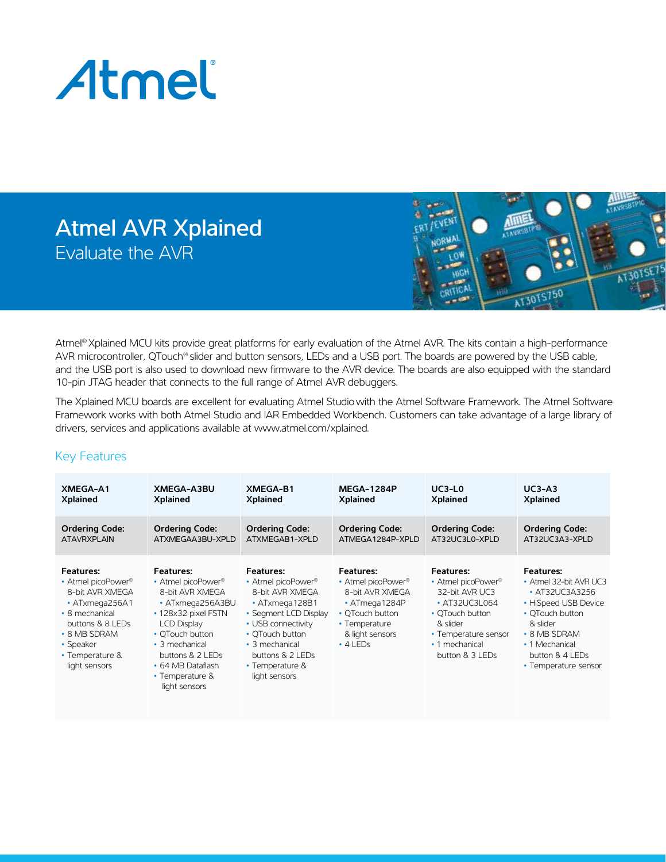

## Atmel AVR Xplained Evaluate the AVR



Atmel® Xplained MCU kits provide great platforms for early evaluation of the Atmel AVR. The kits contain a high-performance AVR microcontroller, QTouch® slider and button sensors, LEDs and a USB port. The boards are powered by the USB cable, and the USB port is also used to download new firmware to the AVR device. The boards are also equipped with the standard 10-pin JTAG header that connects to the full range of Atmel AVR debuggers.

The Xplained MCU boards are excellent for evaluating Atmel Studiowith the Atmel Software Framework. The Atmel Software Framework works with both Atmel Studio and IAR Embedded Workbench. Customers can take advantage of a large library of drivers, services and applications available at www.atmel.com/xplained.

#### Key Features

| <b>XMEGA-A1</b>                                                                                                                                                                         | XMEGA-A3BU                                                                                                                                                                                                                                        | <b>XMEGA-B1</b>                                                                                                                                                                                                              | <b>MEGA-1284P</b>                                                                                                                                               | $UC3-L0$                                                                                                                                                                         | $UC3-A3$                                                                                                                                                                                              |
|-----------------------------------------------------------------------------------------------------------------------------------------------------------------------------------------|---------------------------------------------------------------------------------------------------------------------------------------------------------------------------------------------------------------------------------------------------|------------------------------------------------------------------------------------------------------------------------------------------------------------------------------------------------------------------------------|-----------------------------------------------------------------------------------------------------------------------------------------------------------------|----------------------------------------------------------------------------------------------------------------------------------------------------------------------------------|-------------------------------------------------------------------------------------------------------------------------------------------------------------------------------------------------------|
| Xplained                                                                                                                                                                                | <b>Xplained</b>                                                                                                                                                                                                                                   | <b>Xplained</b>                                                                                                                                                                                                              | Xplained                                                                                                                                                        | <b>Xplained</b>                                                                                                                                                                  | <b>Xplained</b>                                                                                                                                                                                       |
| <b>Ordering Code:</b>                                                                                                                                                                   | <b>Ordering Code:</b>                                                                                                                                                                                                                             | <b>Ordering Code:</b>                                                                                                                                                                                                        | <b>Ordering Code:</b>                                                                                                                                           | <b>Ordering Code:</b>                                                                                                                                                            | <b>Ordering Code:</b>                                                                                                                                                                                 |
| <b>ATAVRXPLAIN</b>                                                                                                                                                                      | ATXMEGAA3BU-XPLD                                                                                                                                                                                                                                  | ATXMEGAB1-XPLD                                                                                                                                                                                                               | ATMEGA1284P-XPLD                                                                                                                                                | AT32UC3L0-XPLD                                                                                                                                                                   | AT32UC3A3-XPLD                                                                                                                                                                                        |
| Features:<br>• Atmel picoPower <sup>®</sup><br>8-bit AVR XMEGA<br>• ATxmega256A1<br>• 8 mechanical<br>buttons & 8 LEDs<br>• 8 MB SDRAM<br>• Speaker<br>• Temperature &<br>light sensors | Features:<br>• Atmel picoPower <sup>®</sup><br>8-bit AVR XMEGA<br>• ATxmega256A3BU<br>• 128x32 pixel FSTN<br><b>LCD Display</b><br>• OTouch button<br>• 3 mechanical<br>buttons & 2 LEDs<br>• 64 MB Dataflash<br>• Temperature &<br>light sensors | Features:<br>• Atmel picoPower <sup>®</sup><br>8-bit AVR XMEGA<br>• ATxmega128B1<br>• Segment LCD Display<br>• USB connectivity<br>• OTouch button<br>• 3 mechanical<br>buttons & 2 LEDs<br>• Temperature &<br>light sensors | <b>Features:</b><br>• Atmel picoPower <sup>®</sup><br>8-bit AVR XMEGA<br>• ATmega1284P<br>• OTouch button<br>• Temperature<br>& light sensors<br>$\cdot$ 4 LEDs | Features:<br>• Atmel picoPower <sup>®</sup><br>32-bit AVR UC3<br>$\cdot$ AT32UC3L064<br>• OTouch button<br>& slider<br>• Temperature sensor<br>• 1 mechanical<br>button & 3 LEDs | Features:<br>• Atmel 32-bit AVR UC3<br>$\cdot$ AT32UC3A3256<br>• HiSpeed USB Device<br>• OTouch button<br>& slider<br>$\cdot$ 8 MB SDRAM<br>• 1 Mechanical<br>button & 4 LEDs<br>• Temperature sensor |